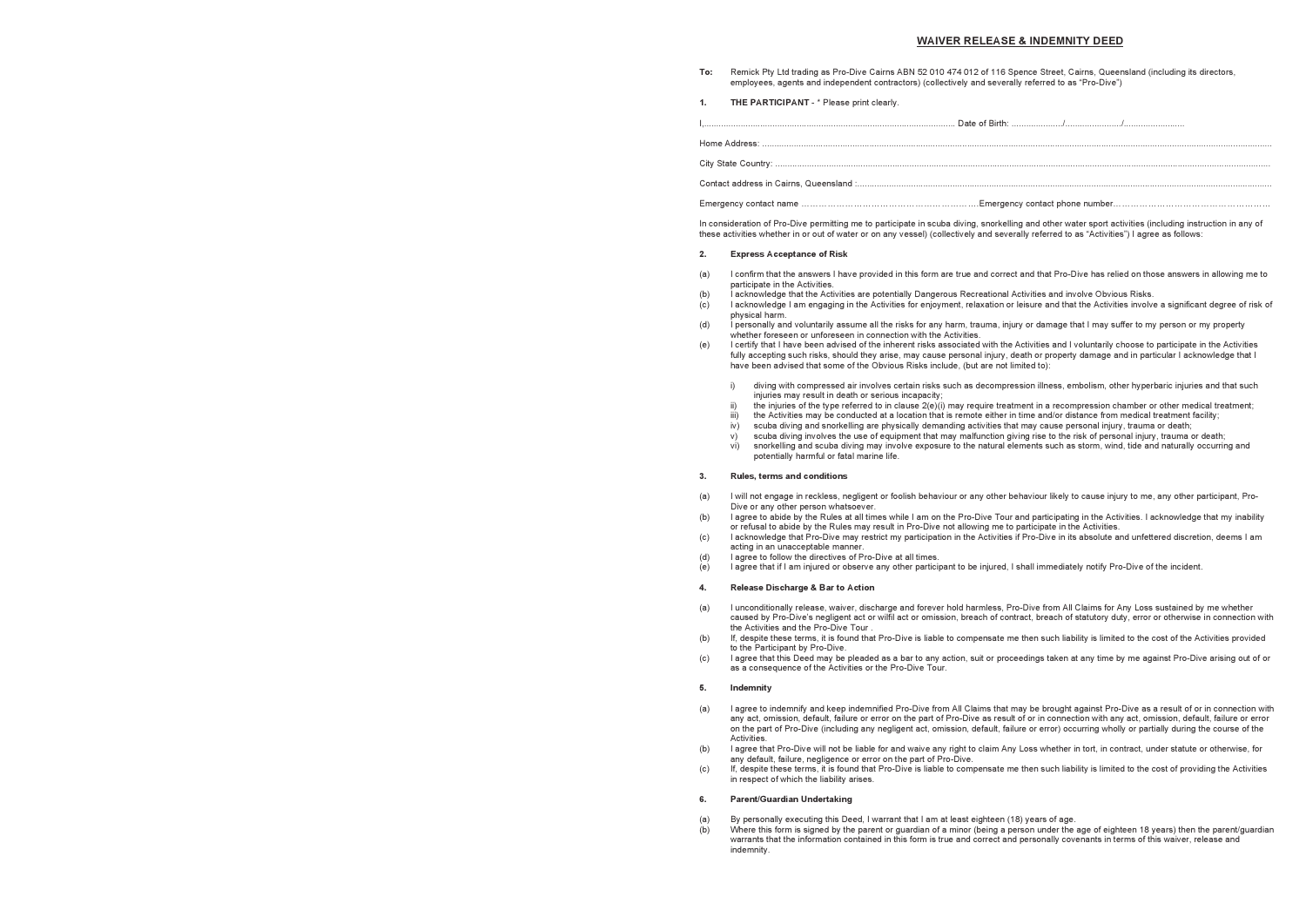# **WAIVER RELEASE & INDEMNITY DEED**

**To:** Remick Pty Ltd trading as Pro-Dive Cairns ABN 52 010 474 012 of 116 Spence Street, Cairns, Queensland (including its directors, employees, agents and independent contractors) (collectively and severally referred to as "Pro-Dive")

**1.** THE PARTICIPANT - \* Please print clearly.

I,....................................................................................................... Date of Birth: ...................../......................./......................... Home Address: ................................................................................................................................................................................................................. City State Country: ... Contact address in Cairns, Queensland :..........

Emergency contact name …………………………………………………….Emergency contact phone number………………………………………………

In consideration of Pro-Dive permitting me to participate in scuba diving, snorkelling and other water sport activities (including instruction in any of these activities whether in or out of water or on any vessel) (collectively and severally referred to as "Activities") I agree as follows:

#### **2. Express Acceptance of Risk**

(a) I confirm that the answers I have provided in this form are true and correct and that Pro-Dive has relied on those answers in allowing me to

I acknowledge I am engaging in the Activities for enjoyment, relaxation or leisure and that the Activities involve a significant degree of risk of

(d) I personally and voluntarily assume all the risks for any harm, trauma, injury or damage that I may suffer to my person or my property

- (a) I will not engage in reckless, negligent or foolish behaviour or any other behaviour likely to cause injury to me, any other participant, Pro-Dive or any other person whatsoever.
- (b) I agree to abide by the Rules at all times while I am on the Pro-Dive Tour and participating in the Activities. I acknowledge that my inability or refusal to abide by the Rules may result in Pro-Dive not allowing me to participate in the Activities.
- acting in an unacceptable manner.
- (d) I agree to follow the directives of Pro-Dive at all times.
- $\overrightarrow{e}$  I agree that if I am injured or observe any other participant to be injured. I shall immediately notify Pro-Dive of the incident.

(e) I certify that I have been advised of the inherent risks associated with the Activities and I voluntarily choose to participate in the Activities fully accepting such risks, should they arise, may cause personal injury, death or property damage and in particular I acknowledge that I

the injuries of the type referred to in clause  $2(e)(i)$  may require treatment in a recompression chamber or other medical treatment; the Activities may be conducted at a location that is remote either in time and/or distance from medical treatment facility;

snorkelling and scuba diving may involve exposure to the natural elements such as storm, wind, tide and naturally occurring and

- participate in the Activities.
- (b) I acknowledge that the Activities are potentially Dangerous Recreational Activities and involve Obvious Risks.<br>(c) I acknowledge I am engaging in the Activities for enjoyment, relaxation or leisure and that the Activit
- physical harm.
- whether foreseen or unforeseen in connection with the Activities.
- have been advised that some of the Obvious Risks include, (but are not limited to):
	- i) diving with compressed air involves certain risks such as decompression illness, embolism, other hyperbaric injuries and that such initing that compresses an interest in contraction in interesting incapacity;
- 
- 
- iv) scuba diving and snorkelling are physically demanding activities that may cause personal injury, trauma or death;
- v) scuba diving involves the use of equipment that may malfunction giving rise to the risk of personal injury, trauma or death; potentially harmful or fatal marine life.

### **3. Rules, terms and conditions**

(c) I acknowledge that Pro-Dive may restrict my participation in the Activities if Pro-Dive in its absolute and unfettered discretion, deems I am

#### **4. Release Discharge & Bar to Action**

caused by Pro-Dive's negligent act or wilfil act or omission, breach of contract, breach of statutory duty, error or otherwise in connection with

- (a) I unconditionally release, waiver, discharge and forever hold harmless, Pro-Dive from All Claims for Any Loss sustained by me whether the Activities and the Pro-Dive Tour .
- (b) If, despite these terms, it is found that Pro-Dive is liable to compensate me then such liability is limited to the cost of the Activities provided to the Participant by Pro-Dive.
- (c) I agree that this Deed may be pleaded as a bar to any action, suit or proceedings taken at any time by me against Pro-Dive arising out of or as a consequence of the Activities or the Pro-Dive Tour.

#### **5. Indemnity**

(a) I agree to indemnify and keep indemnified Pro-Dive from All Claims that may be brought against Pro-Dive as a result of or in connection with any act, omission, default, failure or error on the part of Pro-Dive as result of or in connection with any act, omission, default, failure or error on the part of Pro-Dive (including any negligent act, omission, default, failure or error) occurring wholly or partially during the course of the

(b) I agree that Pro-Dive will not be liable for and waive any right to claim Any Loss whether in tort, in contract, under statute or otherwise, for

- Activities.
- any default, failure, negligence or error on the part of Pro-Dive.
- in respect of which the liability arises.

(c) If, despite these terms, it is found that Pro-Dive is liable to compensate me then such liability is limited to the cost of providing the Activities

## **6. Parent/Guardian Undertaking**

(a) By personally executing this Deed, I warrant that I am at least eighteen (18) years of age.  $\dot{b}$  Where this form is signed by the parent or guardian of a minor (being a person under the age of eighteen 18 years) then the parent/guardian warrants that the information contained in this form is true and correct and personally covenants in terms of this waiver, release and indemnity.